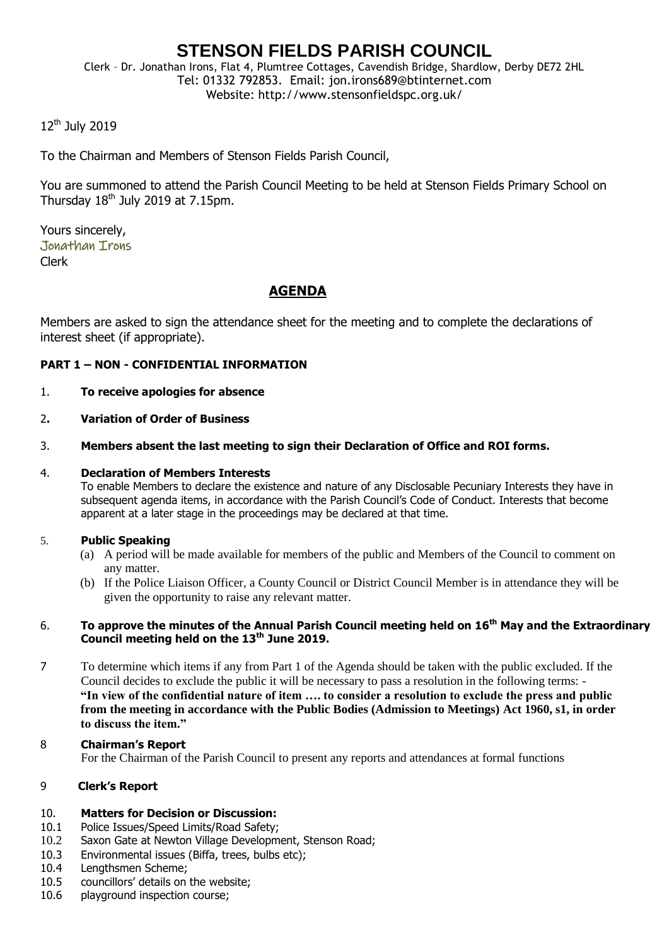# **STENSON FIELDS PARISH COUNCIL**

Clerk – Dr. Jonathan Irons, Flat 4, Plumtree Cottages, Cavendish Bridge, Shardlow, Derby DE72 2HL Tel: 01332 792853. Email: jon.irons689@btinternet.com Website: http://www.stensonfieldspc.org.uk/

# 12<sup>th</sup> July 2019

To the Chairman and Members of Stenson Fields Parish Council,

You are summoned to attend the Parish Council Meeting to be held at Stenson Fields Primary School on Thursday  $18<sup>th</sup>$  July 2019 at 7.15pm.

Yours sincerely, Jonathan Irons Clerk

# **AGENDA**

Members are asked to sign the attendance sheet for the meeting and to complete the declarations of interest sheet (if appropriate).

## **PART 1 – NON - CONFIDENTIAL INFORMATION**

- 1. **To receive apologies for absence**
- 2**. Variation of Order of Business**
- 3. **Members absent the last meeting to sign their Declaration of Office and ROI forms.**

## 4. **Declaration of Members Interests**

To enable Members to declare the existence and nature of any Disclosable Pecuniary Interests they have in subsequent agenda items, in accordance with the Parish Council's Code of Conduct. Interests that become apparent at a later stage in the proceedings may be declared at that time.

## 5. **Public Speaking**

- (a) A period will be made available for members of the public and Members of the Council to comment on any matter.
- (b) If the Police Liaison Officer, a County Council or District Council Member is in attendance they will be given the opportunity to raise any relevant matter.

#### 6. **To approve the minutes of the Annual Parish Council meeting held on 16th May and the Extraordinary Council meeting held on the 13th June 2019.**

7 To determine which items if any from Part 1 of the Agenda should be taken with the public excluded. If the Council decides to exclude the public it will be necessary to pass a resolution in the following terms: - **"In view of the confidential nature of item …. to consider a resolution to exclude the press and public from the meeting in accordance with the Public Bodies (Admission to Meetings) Act 1960, s1, in order to discuss the item."** 

## 8 **Chairman's Report**

For the Chairman of the Parish Council to present any reports and attendances at formal functions

## 9 **Clerk's Report**

#### 10. **Matters for Decision or Discussion:**

- 10.1 Police Issues/Speed Limits/Road Safety;
- 10.2 Saxon Gate at Newton Village Development, Stenson Road;
- 10.3 Environmental issues (Biffa, trees, bulbs etc);
- 10.4 Lengthsmen Scheme;
- 10.5 councillors' details on the website;
- 10.6 playground inspection course;